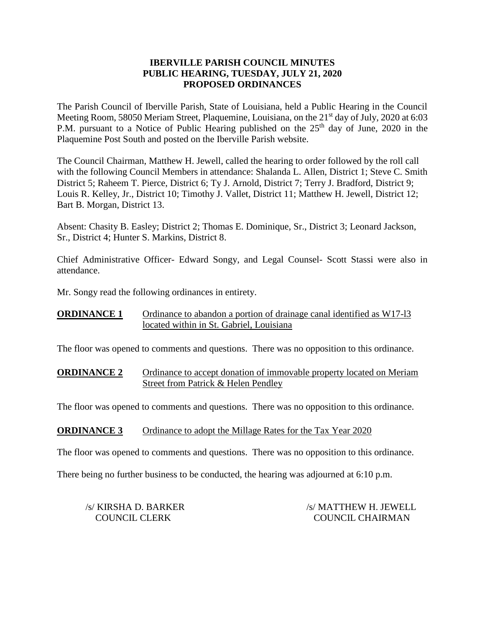# **IBERVILLE PARISH COUNCIL MINUTES PUBLIC HEARING, TUESDAY, JULY 21, 2020 PROPOSED ORDINANCES**

The Parish Council of Iberville Parish, State of Louisiana, held a Public Hearing in the Council Meeting Room, 58050 Meriam Street, Plaquemine, Louisiana, on the 21<sup>st</sup> day of July, 2020 at 6:03 P.M. pursuant to a Notice of Public Hearing published on the  $25<sup>th</sup>$  day of June, 2020 in the Plaquemine Post South and posted on the Iberville Parish website.

The Council Chairman, Matthew H. Jewell, called the hearing to order followed by the roll call with the following Council Members in attendance: Shalanda L. Allen, District 1; Steve C. Smith District 5; Raheem T. Pierce, District 6; Ty J. Arnold, District 7; Terry J. Bradford, District 9; Louis R. Kelley, Jr., District 10; Timothy J. Vallet, District 11; Matthew H. Jewell, District 12; Bart B. Morgan, District 13.

Absent: Chasity B. Easley; District 2; Thomas E. Dominique, Sr., District 3; Leonard Jackson, Sr., District 4; Hunter S. Markins, District 8.

Chief Administrative Officer- Edward Songy, and Legal Counsel- Scott Stassi were also in attendance.

Mr. Songy read the following ordinances in entirety.

# **ORDINANCE 1** Ordinance to abandon a portion of drainage canal identified as W17-l3 located within in St. Gabriel, Louisiana

The floor was opened to comments and questions. There was no opposition to this ordinance.

**ORDINANCE 2** Ordinance to accept donation of immovable property located on Meriam Street from Patrick & Helen Pendley

The floor was opened to comments and questions. There was no opposition to this ordinance.

**ORDINANCE 3** Ordinance to adopt the Millage Rates for the Tax Year 2020

The floor was opened to comments and questions. There was no opposition to this ordinance.

There being no further business to be conducted, the hearing was adjourned at 6:10 p.m.

/s/ KIRSHA D. BARKER /s/ MATTHEW H. JEWELL COUNCIL CLERK COUNCIL CHAIRMAN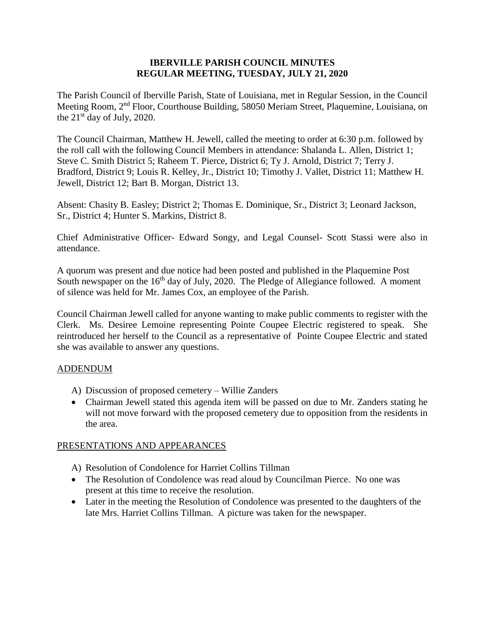## **IBERVILLE PARISH COUNCIL MINUTES REGULAR MEETING, TUESDAY, JULY 21, 2020**

The Parish Council of Iberville Parish, State of Louisiana, met in Regular Session, in the Council Meeting Room, 2nd Floor, Courthouse Building, 58050 Meriam Street, Plaquemine, Louisiana, on the  $21<sup>st</sup>$  day of July, 2020.

The Council Chairman, Matthew H. Jewell, called the meeting to order at 6:30 p.m. followed by the roll call with the following Council Members in attendance: Shalanda L. Allen, District 1; Steve C. Smith District 5; Raheem T. Pierce, District 6; Ty J. Arnold, District 7; Terry J. Bradford, District 9; Louis R. Kelley, Jr., District 10; Timothy J. Vallet, District 11; Matthew H. Jewell, District 12; Bart B. Morgan, District 13.

Absent: Chasity B. Easley; District 2; Thomas E. Dominique, Sr., District 3; Leonard Jackson, Sr., District 4; Hunter S. Markins, District 8.

Chief Administrative Officer- Edward Songy, and Legal Counsel- Scott Stassi were also in attendance.

A quorum was present and due notice had been posted and published in the Plaquemine Post South newspaper on the 16<sup>th</sup> day of July, 2020. The Pledge of Allegiance followed. A moment of silence was held for Mr. James Cox, an employee of the Parish.

Council Chairman Jewell called for anyone wanting to make public comments to register with the Clerk. Ms. Desiree Lemoine representing Pointe Coupee Electric registered to speak. She reintroduced her herself to the Council as a representative of Pointe Coupee Electric and stated she was available to answer any questions.

### ADDENDUM

- A) Discussion of proposed cemetery Willie Zanders
- Chairman Jewell stated this agenda item will be passed on due to Mr. Zanders stating he will not move forward with the proposed cemetery due to opposition from the residents in the area.

### PRESENTATIONS AND APPEARANCES

A) Resolution of Condolence for Harriet Collins Tillman

- The Resolution of Condolence was read aloud by Councilman Pierce. No one was present at this time to receive the resolution.
- Later in the meeting the Resolution of Condolence was presented to the daughters of the late Mrs. Harriet Collins Tillman. A picture was taken for the newspaper.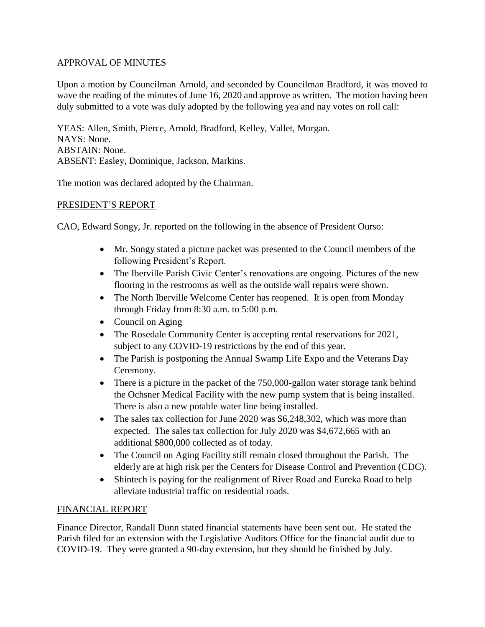# APPROVAL OF MINUTES

Upon a motion by Councilman Arnold, and seconded by Councilman Bradford, it was moved to wave the reading of the minutes of June 16, 2020 and approve as written. The motion having been duly submitted to a vote was duly adopted by the following yea and nay votes on roll call:

YEAS: Allen, Smith, Pierce, Arnold, Bradford, Kelley, Vallet, Morgan. NAYS: None. ABSTAIN: None. ABSENT: Easley, Dominique, Jackson, Markins.

The motion was declared adopted by the Chairman.

# PRESIDENT'S REPORT

CAO, Edward Songy, Jr. reported on the following in the absence of President Ourso:

- Mr. Songy stated a picture packet was presented to the Council members of the following President's Report.
- The Iberville Parish Civic Center's renovations are ongoing. Pictures of the new flooring in the restrooms as well as the outside wall repairs were shown.
- The North Iberville Welcome Center has reopened. It is open from Monday through Friday from 8:30 a.m. to 5:00 p.m.
- Council on Aging
- The Rosedale Community Center is accepting rental reservations for 2021, subject to any COVID-19 restrictions by the end of this year.
- The Parish is postponing the Annual Swamp Life Expo and the Veterans Day Ceremony.
- There is a picture in the packet of the 750,000-gallon water storage tank behind the Ochsner Medical Facility with the new pump system that is being installed. There is also a new potable water line being installed.
- The sales tax collection for June 2020 was \$6,248,302, which was more than expected. The sales tax collection for July 2020 was \$4,672,665 with an additional \$800,000 collected as of today.
- The Council on Aging Facility still remain closed throughout the Parish. The elderly are at high risk per the Centers for Disease Control and Prevention (CDC).
- Shintech is paying for the realignment of River Road and Eureka Road to help alleviate industrial traffic on residential roads.

# FINANCIAL REPORT

Finance Director, Randall Dunn stated financial statements have been sent out. He stated the Parish filed for an extension with the Legislative Auditors Office for the financial audit due to COVID-19. They were granted a 90-day extension, but they should be finished by July.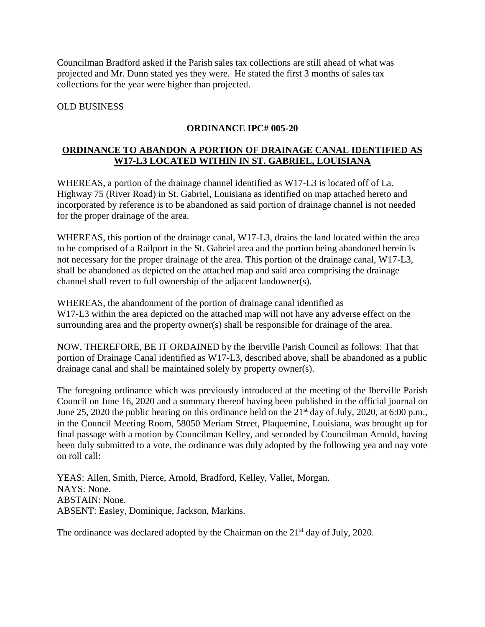Councilman Bradford asked if the Parish sales tax collections are still ahead of what was projected and Mr. Dunn stated yes they were. He stated the first 3 months of sales tax collections for the year were higher than projected.

# OLD BUSINESS

# **ORDINANCE IPC# 005-20**

# **ORDINANCE TO ABANDON A PORTION OF DRAINAGE CANAL IDENTIFIED AS W17-L3 LOCATED WITHIN IN ST. GABRIEL, LOUISIANA**

WHEREAS, a portion of the drainage channel identified as W17-L3 is located off of La. Highway 75 (River Road) in St. Gabriel, Louisiana as identified on map attached hereto and incorporated by reference is to be abandoned as said portion of drainage channel is not needed for the proper drainage of the area.

WHEREAS, this portion of the drainage canal, W17-L3, drains the land located within the area to be comprised of a Railport in the St. Gabriel area and the portion being abandoned herein is not necessary for the proper drainage of the area. This portion of the drainage canal, W17-L3, shall be abandoned as depicted on the attached map and said area comprising the drainage channel shall revert to full ownership of the adjacent landowner(s).

WHEREAS, the abandonment of the portion of drainage canal identified as W17-L3 within the area depicted on the attached map will not have any adverse effect on the surrounding area and the property owner(s) shall be responsible for drainage of the area.

NOW, THEREFORE, BE IT ORDAINED by the Iberville Parish Council as follows: That that portion of Drainage Canal identified as W17-L3, described above, shall be abandoned as a public drainage canal and shall be maintained solely by property owner(s).

The foregoing ordinance which was previously introduced at the meeting of the Iberville Parish Council on June 16, 2020 and a summary thereof having been published in the official journal on June 25, 2020 the public hearing on this ordinance held on the  $21<sup>st</sup>$  day of July, 2020, at 6:00 p.m., in the Council Meeting Room, 58050 Meriam Street, Plaquemine, Louisiana, was brought up for final passage with a motion by Councilman Kelley, and seconded by Councilman Arnold, having been duly submitted to a vote, the ordinance was duly adopted by the following yea and nay vote on roll call:

YEAS: Allen, Smith, Pierce, Arnold, Bradford, Kelley, Vallet, Morgan. NAYS: None. ABSTAIN: None. ABSENT: Easley, Dominique, Jackson, Markins.

The ordinance was declared adopted by the Chairman on the 21<sup>st</sup> day of July, 2020.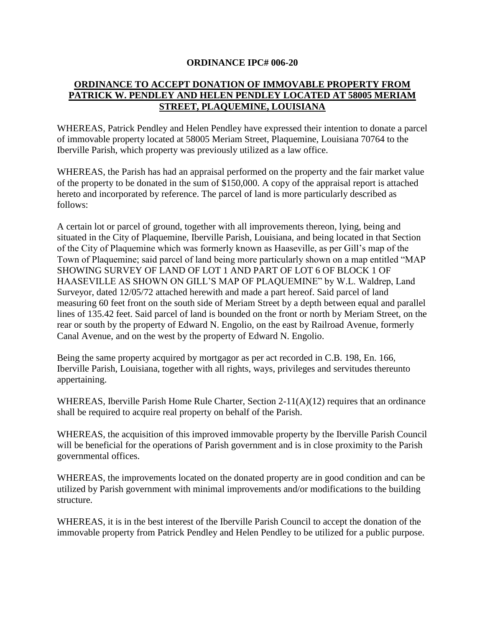### **ORDINANCE IPC# 006-20**

# **ORDINANCE TO ACCEPT DONATION OF IMMOVABLE PROPERTY FROM PATRICK W. PENDLEY AND HELEN PENDLEY LOCATED AT 58005 MERIAM STREET, PLAQUEMINE, LOUISIANA**

WHEREAS, Patrick Pendley and Helen Pendley have expressed their intention to donate a parcel of immovable property located at 58005 Meriam Street, Plaquemine, Louisiana 70764 to the Iberville Parish, which property was previously utilized as a law office.

WHEREAS, the Parish has had an appraisal performed on the property and the fair market value of the property to be donated in the sum of \$150,000. A copy of the appraisal report is attached hereto and incorporated by reference. The parcel of land is more particularly described as follows:

A certain lot or parcel of ground, together with all improvements thereon, lying, being and situated in the City of Plaquemine, Iberville Parish, Louisiana, and being located in that Section of the City of Plaquemine which was formerly known as Haaseville, as per Gill's map of the Town of Plaquemine; said parcel of land being more particularly shown on a map entitled "MAP SHOWING SURVEY OF LAND OF LOT 1 AND PART OF LOT 6 OF BLOCK 1 OF HAASEVILLE AS SHOWN ON GILL'S MAP OF PLAQUEMINE" by W.L. Waldrep, Land Surveyor, dated 12/05/72 attached herewith and made a part hereof. Said parcel of land measuring 60 feet front on the south side of Meriam Street by a depth between equal and parallel lines of 135.42 feet. Said parcel of land is bounded on the front or north by Meriam Street, on the rear or south by the property of Edward N. Engolio, on the east by Railroad Avenue, formerly Canal Avenue, and on the west by the property of Edward N. Engolio.

Being the same property acquired by mortgagor as per act recorded in C.B. 198, En. 166, Iberville Parish, Louisiana, together with all rights, ways, privileges and servitudes thereunto appertaining.

WHEREAS, Iberville Parish Home Rule Charter, Section  $2-11(A)(12)$  requires that an ordinance shall be required to acquire real property on behalf of the Parish.

WHEREAS, the acquisition of this improved immovable property by the Iberville Parish Council will be beneficial for the operations of Parish government and is in close proximity to the Parish governmental offices.

WHEREAS, the improvements located on the donated property are in good condition and can be utilized by Parish government with minimal improvements and/or modifications to the building structure.

WHEREAS, it is in the best interest of the Iberville Parish Council to accept the donation of the immovable property from Patrick Pendley and Helen Pendley to be utilized for a public purpose.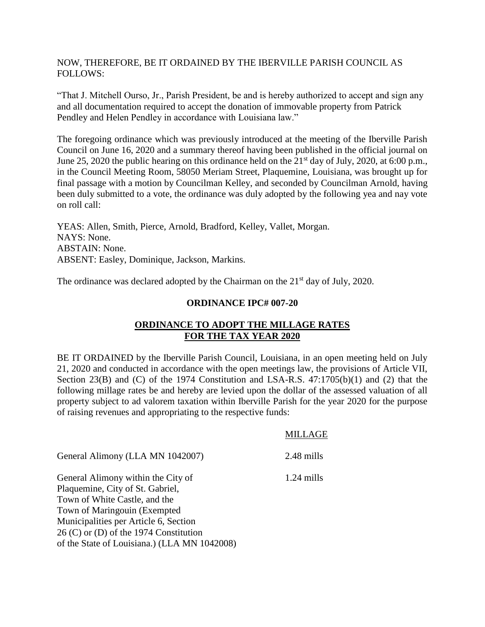### NOW, THEREFORE, BE IT ORDAINED BY THE IBERVILLE PARISH COUNCIL AS FOLLOWS:

"That J. Mitchell Ourso, Jr., Parish President, be and is hereby authorized to accept and sign any and all documentation required to accept the donation of immovable property from Patrick Pendley and Helen Pendley in accordance with Louisiana law."

The foregoing ordinance which was previously introduced at the meeting of the Iberville Parish Council on June 16, 2020 and a summary thereof having been published in the official journal on June 25, 2020 the public hearing on this ordinance held on the  $21<sup>st</sup>$  day of July, 2020, at 6:00 p.m., in the Council Meeting Room, 58050 Meriam Street, Plaquemine, Louisiana, was brought up for final passage with a motion by Councilman Kelley, and seconded by Councilman Arnold, having been duly submitted to a vote, the ordinance was duly adopted by the following yea and nay vote on roll call:

YEAS: Allen, Smith, Pierce, Arnold, Bradford, Kelley, Vallet, Morgan. NAYS: None. ABSTAIN: None. ABSENT: Easley, Dominique, Jackson, Markins.

The ordinance was declared adopted by the Chairman on the  $21<sup>st</sup>$  day of July, 2020.

#### **ORDINANCE IPC# 007-20**

### **ORDINANCE TO ADOPT THE MILLAGE RATES FOR THE TAX YEAR 2020**

BE IT ORDAINED by the Iberville Parish Council, Louisiana, in an open meeting held on July 21, 2020 and conducted in accordance with the open meetings law, the provisions of Article VII, Section 23(B) and (C) of the 1974 Constitution and LSA-R.S. 47:1705(b)(1) and (2) that the following millage rates be and hereby are levied upon the dollar of the assessed valuation of all property subject to ad valorem taxation within Iberville Parish for the year 2020 for the purpose of raising revenues and appropriating to the respective funds:

#### MILLAGE

General Alimony (LLA MN 1042007) 2.48 mills

General Alimony within the City of 1.24 mills Plaquemine, City of St. Gabriel, Town of White Castle, and the Town of Maringouin (Exempted Municipalities per Article 6, Section 26 (C) or (D) of the 1974 Constitution of the State of Louisiana.) (LLA MN 1042008)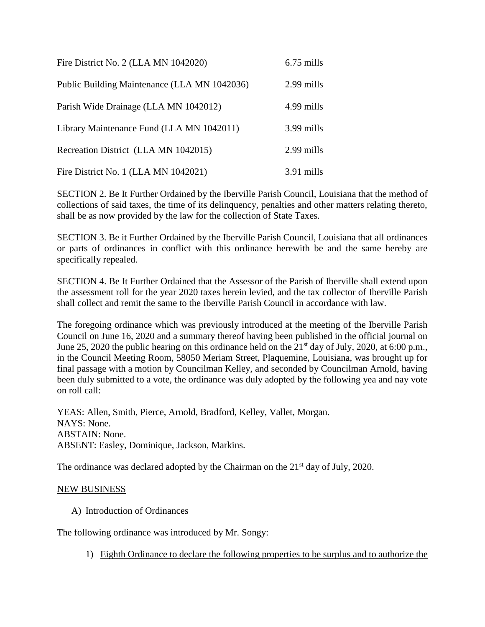| Fire District No. 2 (LLA MN 1042020)         | $6.75$ mills |
|----------------------------------------------|--------------|
| Public Building Maintenance (LLA MN 1042036) | 2.99 mills   |
| Parish Wide Drainage (LLA MN 1042012)        | 4.99 mills   |
| Library Maintenance Fund (LLA MN 1042011)    | 3.99 mills   |
| Recreation District (LLA MN 1042015)         | 2.99 mills   |
| Fire District No. 1 (LLA MN 1042021)         | 3.91 mills   |

SECTION 2. Be It Further Ordained by the Iberville Parish Council, Louisiana that the method of collections of said taxes, the time of its delinquency, penalties and other matters relating thereto, shall be as now provided by the law for the collection of State Taxes.

SECTION 3. Be it Further Ordained by the Iberville Parish Council, Louisiana that all ordinances or parts of ordinances in conflict with this ordinance herewith be and the same hereby are specifically repealed.

SECTION 4. Be It Further Ordained that the Assessor of the Parish of Iberville shall extend upon the assessment roll for the year 2020 taxes herein levied, and the tax collector of Iberville Parish shall collect and remit the same to the Iberville Parish Council in accordance with law.

The foregoing ordinance which was previously introduced at the meeting of the Iberville Parish Council on June 16, 2020 and a summary thereof having been published in the official journal on June 25, 2020 the public hearing on this ordinance held on the 21<sup>st</sup> day of July, 2020, at 6:00 p.m., in the Council Meeting Room, 58050 Meriam Street, Plaquemine, Louisiana, was brought up for final passage with a motion by Councilman Kelley, and seconded by Councilman Arnold, having been duly submitted to a vote, the ordinance was duly adopted by the following yea and nay vote on roll call:

YEAS: Allen, Smith, Pierce, Arnold, Bradford, Kelley, Vallet, Morgan. NAYS: None. ABSTAIN: None. ABSENT: Easley, Dominique, Jackson, Markins.

The ordinance was declared adopted by the Chairman on the  $21<sup>st</sup>$  day of July, 2020.

### NEW BUSINESS

A) Introduction of Ordinances

The following ordinance was introduced by Mr. Songy:

1) Eighth Ordinance to declare the following properties to be surplus and to authorize the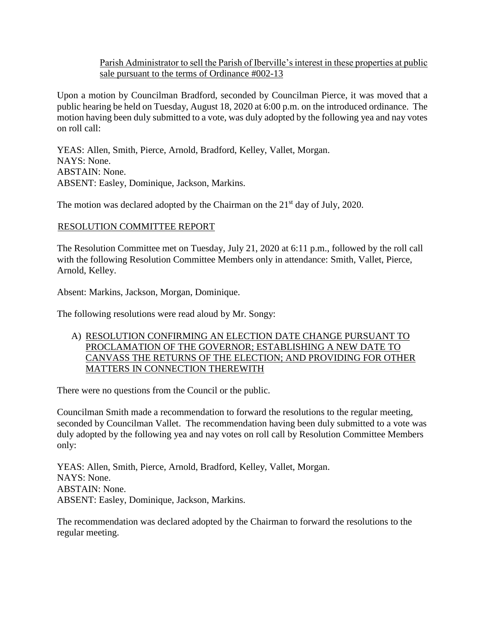### Parish Administrator to sell the Parish of Iberville's interest in these properties at public sale pursuant to the terms of Ordinance #002-13

Upon a motion by Councilman Bradford, seconded by Councilman Pierce, it was moved that a public hearing be held on Tuesday, August 18, 2020 at 6:00 p.m. on the introduced ordinance. The motion having been duly submitted to a vote, was duly adopted by the following yea and nay votes on roll call:

YEAS: Allen, Smith, Pierce, Arnold, Bradford, Kelley, Vallet, Morgan. NAYS: None. ABSTAIN: None. ABSENT: Easley, Dominique, Jackson, Markins.

The motion was declared adopted by the Chairman on the 21<sup>st</sup> day of July, 2020.

# RESOLUTION COMMITTEE REPORT

The Resolution Committee met on Tuesday, July 21, 2020 at 6:11 p.m., followed by the roll call with the following Resolution Committee Members only in attendance: Smith, Vallet, Pierce, Arnold, Kelley.

Absent: Markins, Jackson, Morgan, Dominique.

The following resolutions were read aloud by Mr. Songy:

# A) RESOLUTION CONFIRMING AN ELECTION DATE CHANGE PURSUANT TO PROCLAMATION OF THE GOVERNOR; ESTABLISHING A NEW DATE TO CANVASS THE RETURNS OF THE ELECTION; AND PROVIDING FOR OTHER MATTERS IN CONNECTION THEREWITH

There were no questions from the Council or the public.

Councilman Smith made a recommendation to forward the resolutions to the regular meeting, seconded by Councilman Vallet. The recommendation having been duly submitted to a vote was duly adopted by the following yea and nay votes on roll call by Resolution Committee Members only:

YEAS: Allen, Smith, Pierce, Arnold, Bradford, Kelley, Vallet, Morgan. NAYS: None. ABSTAIN: None. ABSENT: Easley, Dominique, Jackson, Markins.

The recommendation was declared adopted by the Chairman to forward the resolutions to the regular meeting.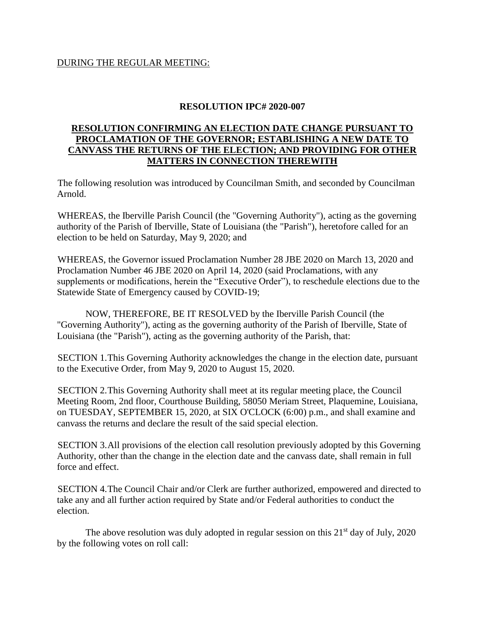# DURING THE REGULAR MEETING:

# **RESOLUTION IPC# 2020-007**

# **RESOLUTION CONFIRMING AN ELECTION DATE CHANGE PURSUANT TO PROCLAMATION OF THE GOVERNOR; ESTABLISHING A NEW DATE TO CANVASS THE RETURNS OF THE ELECTION; AND PROVIDING FOR OTHER MATTERS IN CONNECTION THEREWITH**

The following resolution was introduced by Councilman Smith, and seconded by Councilman Arnold.

WHEREAS, the Iberville Parish Council (the "Governing Authority"), acting as the governing authority of the Parish of Iberville, State of Louisiana (the "Parish"), heretofore called for an election to be held on Saturday, May 9, 2020; and

WHEREAS, the Governor issued Proclamation Number 28 JBE 2020 on March 13, 2020 and Proclamation Number 46 JBE 2020 on April 14, 2020 (said Proclamations, with any supplements or modifications, herein the "Executive Order"), to reschedule elections due to the Statewide State of Emergency caused by COVID-19;

 NOW, THEREFORE, BE IT RESOLVED by the Iberville Parish Council (the "Governing Authority"), acting as the governing authority of the Parish of Iberville, State of Louisiana (the "Parish"), acting as the governing authority of the Parish, that:

SECTION 1.This Governing Authority acknowledges the change in the election date, pursuant to the Executive Order, from May 9, 2020 to August 15, 2020.

SECTION 2.This Governing Authority shall meet at its regular meeting place, the Council Meeting Room, 2nd floor, Courthouse Building, 58050 Meriam Street, Plaquemine, Louisiana, on TUESDAY, SEPTEMBER 15, 2020, at SIX O'CLOCK (6:00) p.m., and shall examine and canvass the returns and declare the result of the said special election.

SECTION 3.All provisions of the election call resolution previously adopted by this Governing Authority, other than the change in the election date and the canvass date, shall remain in full force and effect.

SECTION 4.The Council Chair and/or Clerk are further authorized, empowered and directed to take any and all further action required by State and/or Federal authorities to conduct the election.

The above resolution was duly adopted in regular session on this  $21<sup>st</sup>$  day of July, 2020 by the following votes on roll call: